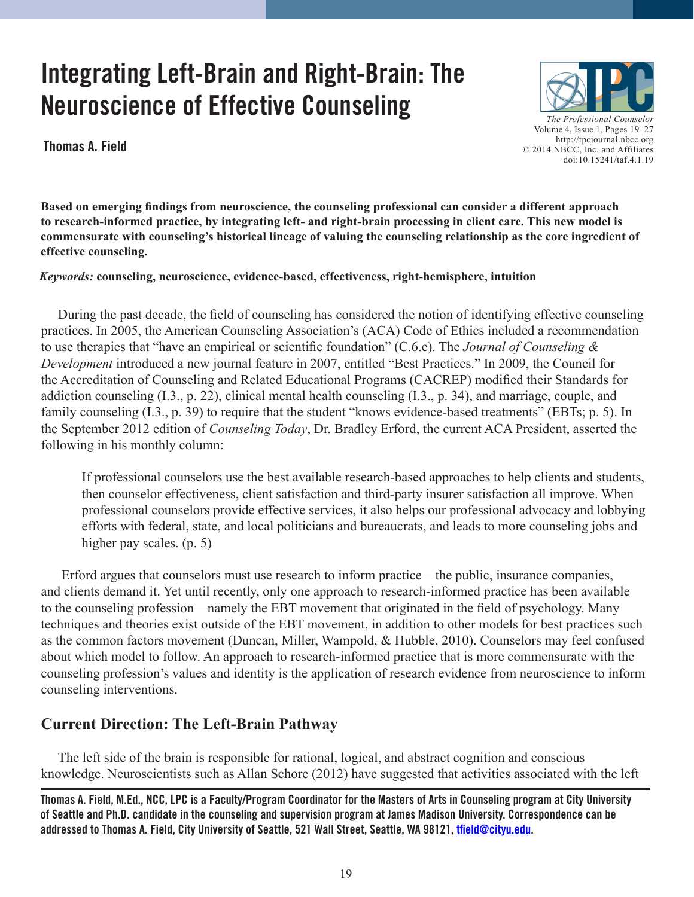# **Integrating Left-Brain and Right-Brain: The Neuroscience of Effective Counseling**

**Thomas A. Field**



**Based on emerging findings from neuroscience, the counseling professional can consider a different approach to research-informed practice, by integrating left- and right-brain processing in client care. This new model is commensurate with counseling's historical lineage of valuing the counseling relationship as the core ingredient of effective counseling.**

## *Keywords:* **counseling, neuroscience, evidence-based, effectiveness, right-hemisphere, intuition**

During the past decade, the field of counseling has considered the notion of identifying effective counseling practices. In 2005, the American Counseling Association's (ACA) Code of Ethics included a recommendation to use therapies that "have an empirical or scientific foundation" (C.6.e). The *Journal of Counseling & Development* introduced a new journal feature in 2007, entitled "Best Practices." In 2009, the Council for the Accreditation of Counseling and Related Educational Programs (CACREP) modified their Standards for addiction counseling (I.3., p. 22), clinical mental health counseling (I.3., p. 34), and marriage, couple, and family counseling (I.3., p. 39) to require that the student "knows evidence-based treatments" (EBTs; p. 5). In the September 2012 edition of *Counseling Today*, Dr. Bradley Erford, the current ACA President, asserted the following in his monthly column:

If professional counselors use the best available research-based approaches to help clients and students, then counselor effectiveness, client satisfaction and third-party insurer satisfaction all improve. When professional counselors provide effective services, it also helps our professional advocacy and lobbying efforts with federal, state, and local politicians and bureaucrats, and leads to more counseling jobs and higher pay scales. (p. 5)

Erford argues that counselors must use research to inform practice—the public, insurance companies, and clients demand it. Yet until recently, only one approach to research-informed practice has been available to the counseling profession—namely the EBT movement that originated in the field of psychology. Many techniques and theories exist outside of the EBT movement, in addition to other models for best practices such as the common factors movement (Duncan, Miller, Wampold, & Hubble, 2010). Counselors may feel confused about which model to follow. An approach to research-informed practice that is more commensurate with the counseling profession's values and identity is the application of research evidence from neuroscience to inform counseling interventions.

# **Current Direction: The Left-Brain Pathway**

The left side of the brain is responsible for rational, logical, and abstract cognition and conscious knowledge. Neuroscientists such as Allan Schore (2012) have suggested that activities associated with the left

**Thomas A. Field, M.Ed., NCC, LPC is a Faculty/Program Coordinator for the Masters of Arts in Counseling program at City University of Seattle and Ph.D. candidate in the counseling and supervision program at James Madison University. Correspondence can be addressed to Thomas A. Field, City University of Seattle, 521 Wall Street, Seattle, WA 98121, [tfield@cityu.edu](mailto:tfield@cityu.edu).**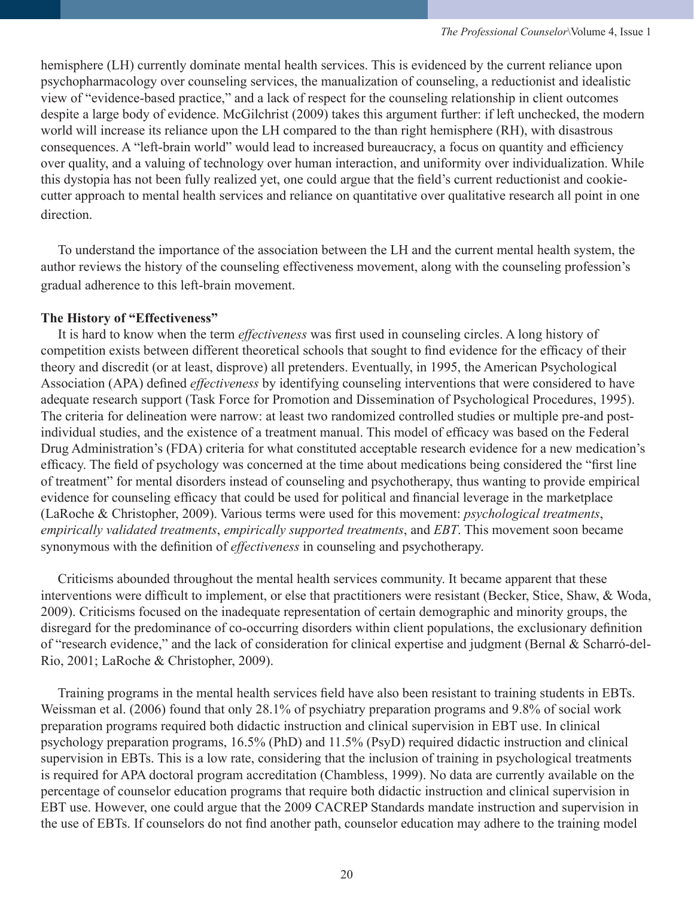hemisphere (LH) currently dominate mental health services. This is evidenced by the current reliance upon psychopharmacology over counseling services, the manualization of counseling, a reductionist and idealistic view of "evidence-based practice," and a lack of respect for the counseling relationship in client outcomes despite a large body of evidence. McGilchrist (2009) takes this argument further: if left unchecked, the modern world will increase its reliance upon the LH compared to the than right hemisphere (RH), with disastrous consequences. A "left-brain world" would lead to increased bureaucracy, a focus on quantity and efficiency over quality, and a valuing of technology over human interaction, and uniformity over individualization. While this dystopia has not been fully realized yet, one could argue that the field's current reductionist and cookiecutter approach to mental health services and reliance on quantitative over qualitative research all point in one direction.

To understand the importance of the association between the LH and the current mental health system, the author reviews the history of the counseling effectiveness movement, along with the counseling profession's gradual adherence to this left-brain movement.

## **The History of "Effectiveness"**

It is hard to know when the term *effectiveness* was first used in counseling circles. A long history of competition exists between different theoretical schools that sought to find evidence for the efficacy of their theory and discredit (or at least, disprove) all pretenders. Eventually, in 1995, the American Psychological Association (APA) defined *effectiveness* by identifying counseling interventions that were considered to have adequate research support (Task Force for Promotion and Dissemination of Psychological Procedures, 1995). The criteria for delineation were narrow: at least two randomized controlled studies or multiple pre-and postindividual studies, and the existence of a treatment manual. This model of efficacy was based on the Federal Drug Administration's (FDA) criteria for what constituted acceptable research evidence for a new medication's efficacy. The field of psychology was concerned at the time about medications being considered the "first line of treatment" for mental disorders instead of counseling and psychotherapy, thus wanting to provide empirical evidence for counseling efficacy that could be used for political and financial leverage in the marketplace (LaRoche & Christopher, 2009). Various terms were used for this movement: *psychological treatments*, *empirically validated treatments*, *empirically supported treatments*, and *EBT*. This movement soon became synonymous with the definition of *effectiveness* in counseling and psychotherapy.

Criticisms abounded throughout the mental health services community. It became apparent that these interventions were difficult to implement, or else that practitioners were resistant (Becker, Stice, Shaw, & Woda, 2009). Criticisms focused on the inadequate representation of certain demographic and minority groups, the disregard for the predominance of co-occurring disorders within client populations, the exclusionary definition of "research evidence," and the lack of consideration for clinical expertise and judgment (Bernal & Scharró-del-Rio, 2001; LaRoche & Christopher, 2009).

Training programs in the mental health services field have also been resistant to training students in EBTs. Weissman et al. (2006) found that only 28.1% of psychiatry preparation programs and 9.8% of social work preparation programs required both didactic instruction and clinical supervision in EBT use. In clinical psychology preparation programs, 16.5% (PhD) and 11.5% (PsyD) required didactic instruction and clinical supervision in EBTs. This is a low rate, considering that the inclusion of training in psychological treatments is required for APA doctoral program accreditation (Chambless, 1999). No data are currently available on the percentage of counselor education programs that require both didactic instruction and clinical supervision in EBT use. However, one could argue that the 2009 CACREP Standards mandate instruction and supervision in the use of EBTs. If counselors do not find another path, counselor education may adhere to the training model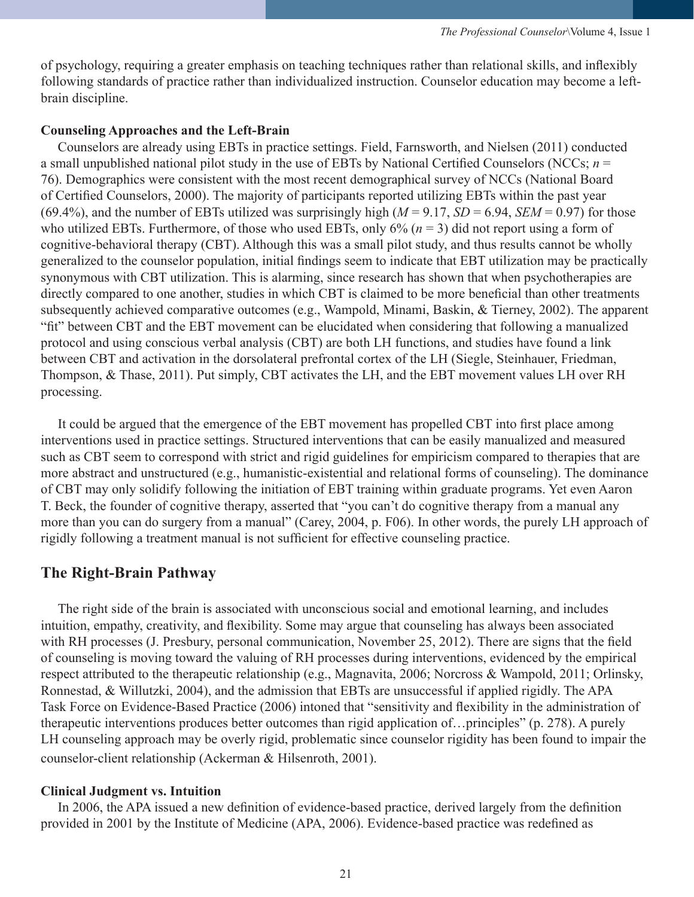of psychology, requiring a greater emphasis on teaching techniques rather than relational skills, and inflexibly following standards of practice rather than individualized instruction. Counselor education may become a leftbrain discipline.

## **Counseling Approaches and the Left-Brain**

Counselors are already using EBTs in practice settings. Field, Farnsworth, and Nielsen (2011) conducted a small unpublished national pilot study in the use of EBTs by National Certified Counselors (NCCs; *n* = 76). Demographics were consistent with the most recent demographical survey of NCCs (National Board of Certified Counselors, 2000). The majority of participants reported utilizing EBTs within the past year (69.4%), and the number of EBTs utilized was surprisingly high ( $M = 9.17$ ,  $SD = 6.94$ ,  $SEM = 0.97$ ) for those who utilized EBTs. Furthermore, of those who used EBTs, only  $6\%$  ( $n = 3$ ) did not report using a form of cognitive-behavioral therapy (CBT). Although this was a small pilot study, and thus results cannot be wholly generalized to the counselor population, initial findings seem to indicate that EBT utilization may be practically synonymous with CBT utilization. This is alarming, since research has shown that when psychotherapies are directly compared to one another, studies in which CBT is claimed to be more beneficial than other treatments subsequently achieved comparative outcomes (e.g., Wampold, Minami, Baskin, & Tierney, 2002). The apparent "fit" between CBT and the EBT movement can be elucidated when considering that following a manualized protocol and using conscious verbal analysis (CBT) are both LH functions, and studies have found a link between CBT and activation in the dorsolateral prefrontal cortex of the LH (Siegle, Steinhauer, Friedman, Thompson, & Thase, 2011). Put simply, CBT activates the LH, and the EBT movement values LH over RH processing.

It could be argued that the emergence of the EBT movement has propelled CBT into first place among interventions used in practice settings. Structured interventions that can be easily manualized and measured such as CBT seem to correspond with strict and rigid guidelines for empiricism compared to therapies that are more abstract and unstructured (e.g., humanistic-existential and relational forms of counseling). The dominance of CBT may only solidify following the initiation of EBT training within graduate programs. Yet even Aaron T. Beck, the founder of cognitive therapy, asserted that "you can't do cognitive therapy from a manual any more than you can do surgery from a manual" (Carey, 2004, p. F06). In other words, the purely LH approach of rigidly following a treatment manual is not sufficient for effective counseling practice.

#### **The Right-Brain Pathway**

The right side of the brain is associated with unconscious social and emotional learning, and includes intuition, empathy, creativity, and flexibility. Some may argue that counseling has always been associated with RH processes (J. Presbury, personal communication, November 25, 2012). There are signs that the field of counseling is moving toward the valuing of RH processes during interventions, evidenced by the empirical respect attributed to the therapeutic relationship (e.g., Magnavita, 2006; Norcross & Wampold, 2011; Orlinsky, Ronnestad, & Willutzki, 2004), and the admission that EBTs are unsuccessful if applied rigidly. The APA Task Force on Evidence-Based Practice (2006) intoned that "sensitivity and flexibility in the administration of therapeutic interventions produces better outcomes than rigid application of…principles" (p. 278). A purely LH counseling approach may be overly rigid, problematic since counselor rigidity has been found to impair the counselor-client relationship (Ackerman & Hilsenroth, 2001).

#### **Clinical Judgment vs. Intuition**

In 2006, the APA issued a new definition of evidence-based practice, derived largely from the definition provided in 2001 by the Institute of Medicine (APA, 2006). Evidence-based practice was redefined as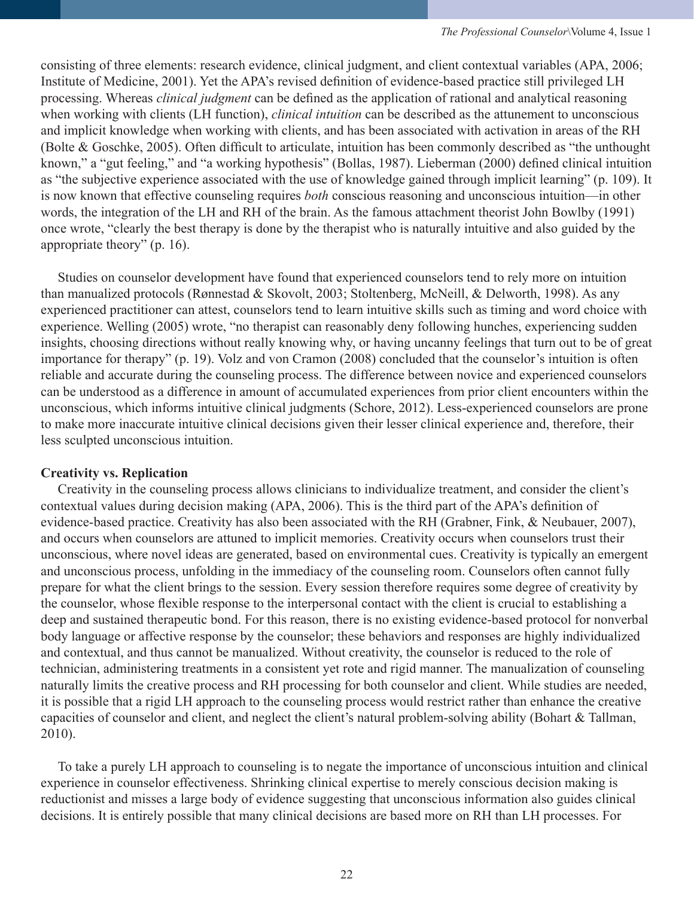consisting of three elements: research evidence, clinical judgment, and client contextual variables (APA, 2006; Institute of Medicine, 2001). Yet the APA's revised definition of evidence-based practice still privileged LH processing. Whereas *clinical judgment* can be defined as the application of rational and analytical reasoning when working with clients (LH function), *clinical intuition* can be described as the attunement to unconscious and implicit knowledge when working with clients, and has been associated with activation in areas of the RH (Bolte & Goschke, 2005). Often difficult to articulate, intuition has been commonly described as "the unthought known," a "gut feeling," and "a working hypothesis" (Bollas, 1987). Lieberman (2000) defined clinical intuition as "the subjective experience associated with the use of knowledge gained through implicit learning" (p. 109). It is now known that effective counseling requires *both* conscious reasoning and unconscious intuition—in other words, the integration of the LH and RH of the brain. As the famous attachment theorist John Bowlby (1991) once wrote, "clearly the best therapy is done by the therapist who is naturally intuitive and also guided by the appropriate theory" (p. 16).

Studies on counselor development have found that experienced counselors tend to rely more on intuition than manualized protocols (Rønnestad & Skovolt, 2003; Stoltenberg, McNeill, & Delworth, 1998). As any experienced practitioner can attest, counselors tend to learn intuitive skills such as timing and word choice with experience. Welling (2005) wrote, "no therapist can reasonably deny following hunches, experiencing sudden insights, choosing directions without really knowing why, or having uncanny feelings that turn out to be of great importance for therapy" (p. 19). Volz and von Cramon (2008) concluded that the counselor's intuition is often reliable and accurate during the counseling process. The difference between novice and experienced counselors can be understood as a difference in amount of accumulated experiences from prior client encounters within the unconscious, which informs intuitive clinical judgments (Schore, 2012). Less-experienced counselors are prone to make more inaccurate intuitive clinical decisions given their lesser clinical experience and, therefore, their less sculpted unconscious intuition.

#### **Creativity vs. Replication**

Creativity in the counseling process allows clinicians to individualize treatment, and consider the client's contextual values during decision making (APA, 2006). This is the third part of the APA's definition of evidence-based practice. Creativity has also been associated with the RH (Grabner, Fink, & Neubauer, 2007), and occurs when counselors are attuned to implicit memories. Creativity occurs when counselors trust their unconscious, where novel ideas are generated, based on environmental cues. Creativity is typically an emergent and unconscious process, unfolding in the immediacy of the counseling room. Counselors often cannot fully prepare for what the client brings to the session. Every session therefore requires some degree of creativity by the counselor, whose flexible response to the interpersonal contact with the client is crucial to establishing a deep and sustained therapeutic bond. For this reason, there is no existing evidence-based protocol for nonverbal body language or affective response by the counselor; these behaviors and responses are highly individualized and contextual, and thus cannot be manualized. Without creativity, the counselor is reduced to the role of technician, administering treatments in a consistent yet rote and rigid manner. The manualization of counseling naturally limits the creative process and RH processing for both counselor and client. While studies are needed, it is possible that a rigid LH approach to the counseling process would restrict rather than enhance the creative capacities of counselor and client, and neglect the client's natural problem-solving ability (Bohart & Tallman, 2010).

To take a purely LH approach to counseling is to negate the importance of unconscious intuition and clinical experience in counselor effectiveness. Shrinking clinical expertise to merely conscious decision making is reductionist and misses a large body of evidence suggesting that unconscious information also guides clinical decisions. It is entirely possible that many clinical decisions are based more on RH than LH processes. For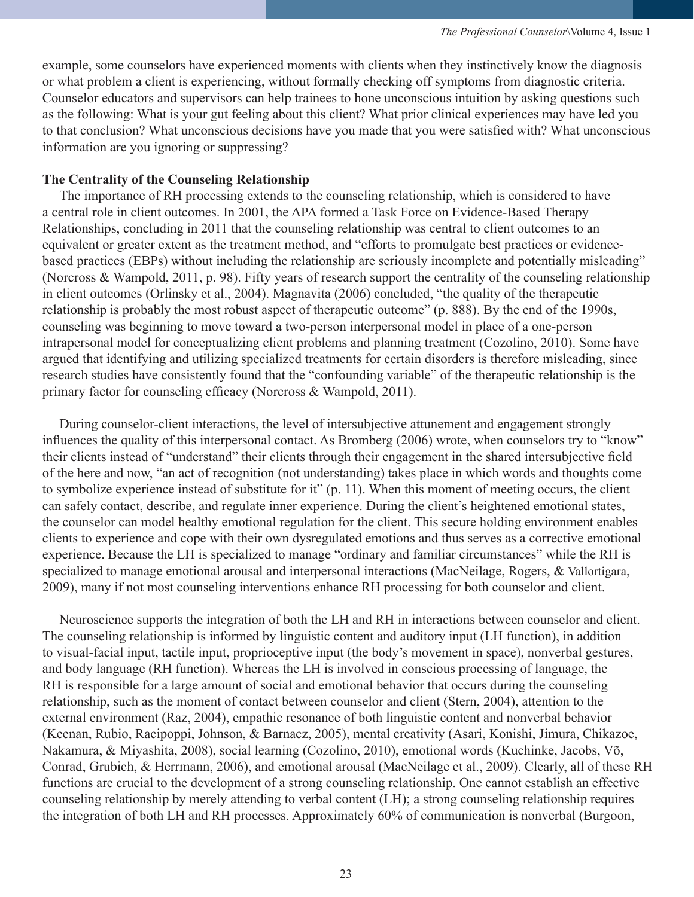example, some counselors have experienced moments with clients when they instinctively know the diagnosis or what problem a client is experiencing, without formally checking off symptoms from diagnostic criteria. Counselor educators and supervisors can help trainees to hone unconscious intuition by asking questions such as the following: What is your gut feeling about this client? What prior clinical experiences may have led you to that conclusion? What unconscious decisions have you made that you were satisfied with? What unconscious information are you ignoring or suppressing?

#### **The Centrality of the Counseling Relationship**

The importance of RH processing extends to the counseling relationship, which is considered to have a central role in client outcomes. In 2001, the APA formed a Task Force on Evidence-Based Therapy Relationships, concluding in 2011 that the counseling relationship was central to client outcomes to an equivalent or greater extent as the treatment method, and "efforts to promulgate best practices or evidencebased practices (EBPs) without including the relationship are seriously incomplete and potentially misleading" (Norcross & Wampold, 2011, p. 98). Fifty years of research support the centrality of the counseling relationship in client outcomes (Orlinsky et al., 2004). Magnavita (2006) concluded, "the quality of the therapeutic relationship is probably the most robust aspect of therapeutic outcome" (p. 888). By the end of the 1990s, counseling was beginning to move toward a two-person interpersonal model in place of a one-person intrapersonal model for conceptualizing client problems and planning treatment (Cozolino, 2010). Some have argued that identifying and utilizing specialized treatments for certain disorders is therefore misleading, since research studies have consistently found that the "confounding variable" of the therapeutic relationship is the primary factor for counseling efficacy (Norcross & Wampold, 2011).

During counselor-client interactions, the level of intersubjective attunement and engagement strongly influences the quality of this interpersonal contact. As Bromberg (2006) wrote, when counselors try to "know" their clients instead of "understand" their clients through their engagement in the shared intersubjective field of the here and now, "an act of recognition (not understanding) takes place in which words and thoughts come to symbolize experience instead of substitute for it" (p. 11). When this moment of meeting occurs, the client can safely contact, describe, and regulate inner experience. During the client's heightened emotional states, the counselor can model healthy emotional regulation for the client. This secure holding environment enables clients to experience and cope with their own dysregulated emotions and thus serves as a corrective emotional experience. Because the LH is specialized to manage "ordinary and familiar circumstances" while the RH is specialized to manage emotional arousal and interpersonal interactions (MacNeilage, Rogers, & Vallortigara, 2009), many if not most counseling interventions enhance RH processing for both counselor and client.

Neuroscience supports the integration of both the LH and RH in interactions between counselor and client. The counseling relationship is informed by linguistic content and auditory input (LH function), in addition to visual-facial input, tactile input, proprioceptive input (the body's movement in space), nonverbal gestures, and body language (RH function). Whereas the LH is involved in conscious processing of language, the RH is responsible for a large amount of social and emotional behavior that occurs during the counseling relationship, such as the moment of contact between counselor and client (Stern, 2004), attention to the external environment (Raz, 2004), empathic resonance of both linguistic content and nonverbal behavior (Keenan, Rubio, Racipoppi, Johnson, & Barnacz, 2005), mental creativity (Asari, Konishi, Jimura, Chikazoe, Nakamura, & Miyashita, 2008), social learning (Cozolino, 2010), emotional words (Kuchinke, Jacobs, Võ, Conrad, Grubich, & Herrmann, 2006), and emotional arousal (MacNeilage et al., 2009). Clearly, all of these RH functions are crucial to the development of a strong counseling relationship. One cannot establish an effective counseling relationship by merely attending to verbal content (LH); a strong counseling relationship requires the integration of both LH and RH processes. Approximately 60% of communication is nonverbal (Burgoon,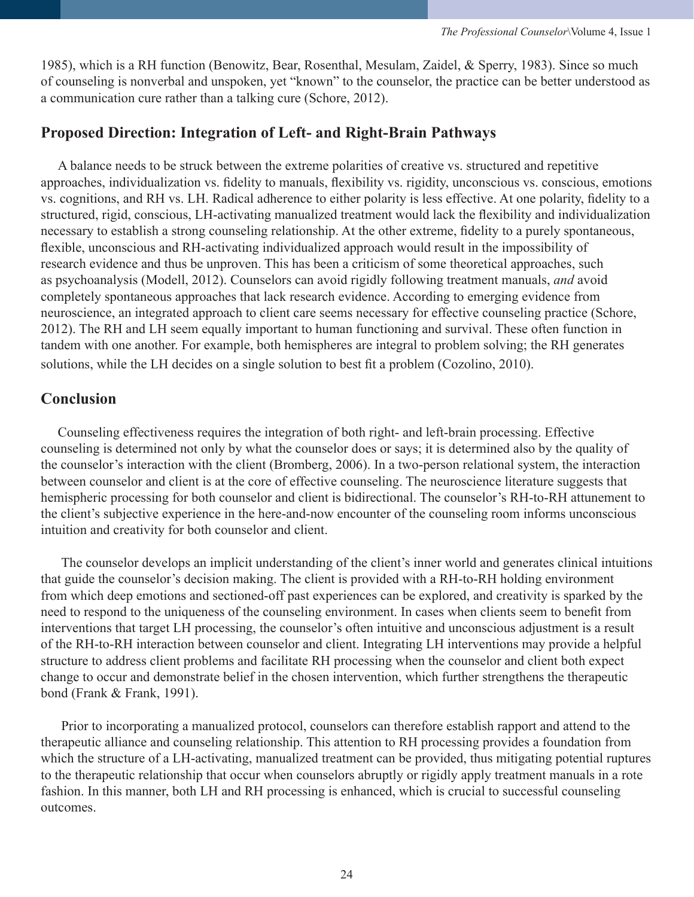1985), which is a RH function (Benowitz, Bear, Rosenthal, Mesulam, Zaidel, & Sperry, 1983). Since so much of counseling is nonverbal and unspoken, yet "known" to the counselor, the practice can be better understood as a communication cure rather than a talking cure (Schore, 2012).

## **Proposed Direction: Integration of Left- and Right-Brain Pathways**

A balance needs to be struck between the extreme polarities of creative vs. structured and repetitive approaches, individualization vs. fidelity to manuals, flexibility vs. rigidity, unconscious vs. conscious, emotions vs. cognitions, and RH vs. LH. Radical adherence to either polarity is less effective. At one polarity, fidelity to a structured, rigid, conscious, LH-activating manualized treatment would lack the flexibility and individualization necessary to establish a strong counseling relationship. At the other extreme, fidelity to a purely spontaneous, flexible, unconscious and RH-activating individualized approach would result in the impossibility of research evidence and thus be unproven. This has been a criticism of some theoretical approaches, such as psychoanalysis (Modell, 2012). Counselors can avoid rigidly following treatment manuals, *and* avoid completely spontaneous approaches that lack research evidence. According to emerging evidence from neuroscience, an integrated approach to client care seems necessary for effective counseling practice (Schore, 2012). The RH and LH seem equally important to human functioning and survival. These often function in tandem with one another. For example, both hemispheres are integral to problem solving; the RH generates solutions, while the LH decides on a single solution to best fit a problem (Cozolino, 2010).

## **Conclusion**

Counseling effectiveness requires the integration of both right- and left-brain processing. Effective counseling is determined not only by what the counselor does or says; it is determined also by the quality of the counselor's interaction with the client (Bromberg, 2006). In a two-person relational system, the interaction between counselor and client is at the core of effective counseling. The neuroscience literature suggests that hemispheric processing for both counselor and client is bidirectional. The counselor's RH-to-RH attunement to the client's subjective experience in the here-and-now encounter of the counseling room informs unconscious intuition and creativity for both counselor and client.

The counselor develops an implicit understanding of the client's inner world and generates clinical intuitions that guide the counselor's decision making. The client is provided with a RH-to-RH holding environment from which deep emotions and sectioned-off past experiences can be explored, and creativity is sparked by the need to respond to the uniqueness of the counseling environment. In cases when clients seem to benefit from interventions that target LH processing, the counselor's often intuitive and unconscious adjustment is a result of the RH-to-RH interaction between counselor and client. Integrating LH interventions may provide a helpful structure to address client problems and facilitate RH processing when the counselor and client both expect change to occur and demonstrate belief in the chosen intervention, which further strengthens the therapeutic bond (Frank & Frank, 1991).

Prior to incorporating a manualized protocol, counselors can therefore establish rapport and attend to the therapeutic alliance and counseling relationship. This attention to RH processing provides a foundation from which the structure of a LH-activating, manualized treatment can be provided, thus mitigating potential ruptures to the therapeutic relationship that occur when counselors abruptly or rigidly apply treatment manuals in a rote fashion. In this manner, both LH and RH processing is enhanced, which is crucial to successful counseling outcomes.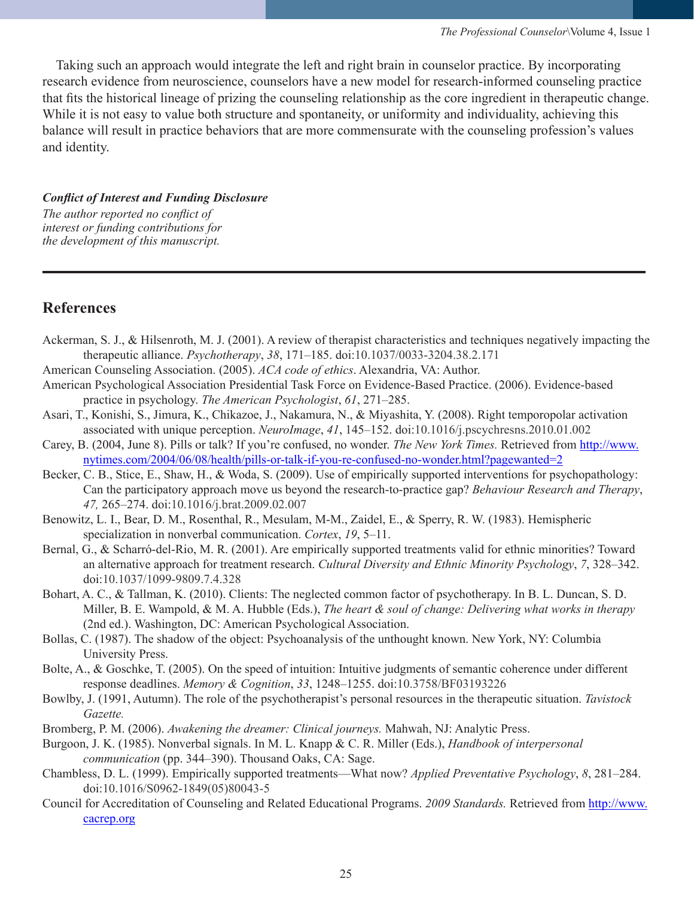Taking such an approach would integrate the left and right brain in counselor practice. By incorporating research evidence from neuroscience, counselors have a new model for research-informed counseling practice that fits the historical lineage of prizing the counseling relationship as the core ingredient in therapeutic change. While it is not easy to value both structure and spontaneity, or uniformity and individuality, achieving this balance will result in practice behaviors that are more commensurate with the counseling profession's values and identity.

#### *Conflict of Interest and Funding Disclosure*

*The author reported no conflict of interest or funding contributions for the development of this manuscript.*

# **References**

- Ackerman, S. J., & Hilsenroth, M. J. (2001). A review of therapist characteristics and techniques negatively impacting the therapeutic alliance. *Psychotherapy*, *38*, 171–185. doi:10.1037/0033-3204.38.2.171
- American Counseling Association. (2005). *ACA code of ethics*. Alexandria, VA: Author.
- American Psychological Association Presidential Task Force on Evidence-Based Practice. (2006). Evidence-based practice in psychology. *The American Psychologist*, *61*, 271–285.
- Asari, T., Konishi, S., Jimura, K., Chikazoe, J., Nakamura, N., & Miyashita, Y. (2008). Right temporopolar activation associated with unique perception. *NeuroImage*, *41*, 145–152. doi:10.1016/j.pscychresns.2010.01.002
- Carey, B. (2004, June 8). Pills or talk? If you're confused, no wonder. *The New York Times.* Retrieved from [http://www.](http://www.nytimes.com/2004/06/08/health/pills-or-talk-if-you-re-confused-no-wonder.html?pagewanted=2) [nytimes.com/2004/06/08/health/pills-or-talk-if-you-re-confused-no-wonder.html?pagewanted=2](http://www.nytimes.com/2004/06/08/health/pills-or-talk-if-you-re-confused-no-wonder.html?pagewanted=2)
- Becker, C. B., Stice, E., Shaw, H., & Woda, S. (2009). Use of empirically supported interventions for psychopathology: Can the participatory approach move us beyond the research-to-practice gap? *Behaviour Research and Therapy*, *47,* 265–274. doi:10.1016/j.brat.2009.02.007
- Benowitz, L. I., Bear, D. M., Rosenthal, R., Mesulam, M-M., Zaidel, E., & Sperry, R. W. (1983). Hemispheric specialization in nonverbal communication. *Cortex*, *19*, 5–11.
- Bernal, G., & Scharró-del-Rio, M. R. (2001). Are empirically supported treatments valid for ethnic minorities? Toward an alternative approach for treatment research. *Cultural Diversity and Ethnic Minority Psychology*, *7*, 328–342. doi:10.1037/1099-9809.7.4.328
- Bohart, A. C., & Tallman, K. (2010). Clients: The neglected common factor of psychotherapy. In B. L. Duncan, S. D. Miller, B. E. Wampold, & M. A. Hubble (Eds.), *The heart & soul of change: Delivering what works in therapy* (2nd ed.). Washington, DC: American Psychological Association.
- Bollas, C. (1987). The shadow of the object: Psychoanalysis of the unthought known. New York, NY: Columbia University Press.
- Bolte, A., & Goschke, T. (2005). On the speed of intuition: Intuitive judgments of semantic coherence under different response deadlines. *Memory & Cognition*, *33*, 1248–1255. doi:10.3758/BF03193226
- Bowlby, J. (1991, Autumn). The role of the psychotherapist's personal resources in the therapeutic situation. *Tavistock Gazette.*
- Bromberg, P. M. (2006). *Awakening the dreamer: Clinical journeys.* Mahwah, NJ: Analytic Press.
- Burgoon, J. K. (1985). Nonverbal signals. In M. L. Knapp & C. R. Miller (Eds.), *Handbook of interpersonal communication* (pp. 344–390). Thousand Oaks, CA: Sage.
- Chambless, D. L. (1999). Empirically supported treatments—What now? *Applied Preventative Psychology*, *8*, 281–284. doi:10.1016/S0962-1849(05)80043-5
- Council for Accreditation of Counseling and Related Educational Programs. *2009 Standards.* Retrieved from [http://www.](http://www.cacrep.org) [cacrep.org](http://www.cacrep.org)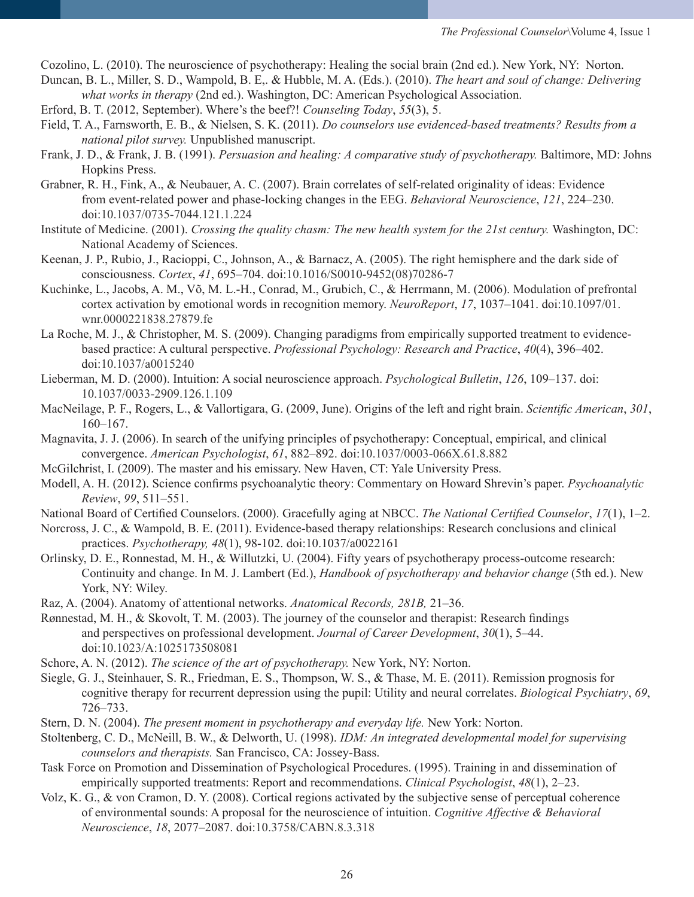Cozolino, L. (2010). The neuroscience of psychotherapy: Healing the social brain (2nd ed.). New York, NY: Norton.

- Duncan, B. L., Miller, S. D., Wampold, B. E,. & Hubble, M. A. (Eds.). (2010). *The heart and soul of change: Delivering what works in therapy* (2nd ed.). Washington, DC: American Psychological Association.
- Erford, B. T. (2012, September). Where's the beef?! *Counseling Today*, *55*(3), 5.
- Field, T. A., Farnsworth, E. B., & Nielsen, S. K. (2011). *Do counselors use evidenced-based treatments? Results from a national pilot survey.* Unpublished manuscript.
- Frank, J. D., & Frank, J. B. (1991). *Persuasion and healing: A comparative study of psychotherapy.* Baltimore, MD: Johns Hopkins Press.
- Grabner, R. H., Fink, A., & Neubauer, A. C. (2007). Brain correlates of self-related originality of ideas: Evidence from event-related power and phase-locking changes in the EEG. *Behavioral Neuroscience*, *121*, 224–230. doi:10.1037/0735-7044.121.1.224
- Institute of Medicine. (2001). *Crossing the quality chasm: The new health system for the 21st century.* Washington, DC: National Academy of Sciences.
- Keenan, J. P., Rubio, J., Racioppi, C., Johnson, A., & Barnacz, A. (2005). The right hemisphere and the dark side of consciousness. *Cortex*, *41*, 695–704. doi:10.1016/S0010-9452(08)70286-7
- Kuchinke, L., Jacobs, A. M., Võ, M. L.-H., Conrad, M., Grubich, C., & Herrmann, M. (2006). Modulation of prefrontal cortex activation by emotional words in recognition memory. *NeuroReport*, *17*, 1037–1041. doi:10.1097/01. wnr.0000221838.27879.fe
- La Roche, M. J., & Christopher, M. S. (2009). Changing paradigms from empirically supported treatment to evidencebased practice: A cultural perspective. *Professional Psychology: Research and Practice*, *40*(4), 396–402. doi:10.1037/a0015240
- Lieberman, M. D. (2000). Intuition: A social neuroscience approach. *Psychological Bulletin*, *126*, 109–137. doi: 10.1037/0033-2909.126.1.109
- MacNeilage, P. F., Rogers, L., & Vallortigara, G. (2009, June). Origins of the left and right brain. *Scientific American*, *301*, 160–167.
- Magnavita, J. J. (2006). In search of the unifying principles of psychotherapy: Conceptual, empirical, and clinical convergence. *American Psychologist*, *61*, 882–892. doi:10.1037/0003-066X.61.8.882
- McGilchrist, I. (2009). The master and his emissary. New Haven, CT: Yale University Press.
- Modell, A. H. (2012). Science confirms psychoanalytic theory: Commentary on Howard Shrevin's paper. *Psychoanalytic Review*, *99*, 511–551.
- National Board of Certified Counselors. (2000). Gracefully aging at NBCC. *The National Certified Counselor*, *17*(1), 1–2.
- Norcross, J. C., & Wampold, B. E. (2011). Evidence-based therapy relationships: Research conclusions and clinical practices. *Psychotherapy, 48*(1), 98-102. doi:10.1037/a0022161
- Orlinsky, D. E., Ronnestad, M. H., & Willutzki, U. (2004). Fifty years of psychotherapy process-outcome research: Continuity and change. In M. J. Lambert (Ed.), *Handbook of psychotherapy and behavior change* (5th ed.). New York, NY: Wiley.
- Raz, A. (2004). Anatomy of attentional networks. *Anatomical Records, 281B,* 21–36.
- Rønnestad, M. H., & Skovolt, T. M. (2003). The journey of the counselor and therapist: Research findings and perspectives on professional development. *Journal of Career Development*, *30*(1), 5–44. doi:10.1023/A:1025173508081
- Schore, A. N. (2012). *The science of the art of psychotherapy.* New York, NY: Norton.
- Siegle, G. J., Steinhauer, S. R., Friedman, E. S., Thompson, W. S., & Thase, M. E. (2011). Remission prognosis for cognitive therapy for recurrent depression using the pupil: Utility and neural correlates. *Biological Psychiatry*, *69*, 726–733.
- Stern, D. N. (2004). *The present moment in psychotherapy and everyday life*. New York: Norton.
- Stoltenberg, C. D., McNeill, B. W., & Delworth, U. (1998). *IDM: An integrated developmental model for supervising counselors and therapists.* San Francisco, CA: Jossey-Bass.
- Task Force on Promotion and Dissemination of Psychological Procedures. (1995). Training in and dissemination of empirically supported treatments: Report and recommendations. *Clinical Psychologist*, *48*(1), 2–23.
- Volz, K. G., & von Cramon, D. Y. (2008). Cortical regions activated by the subjective sense of perceptual coherence of environmental sounds: A proposal for the neuroscience of intuition. *Cognitive Affective & Behavioral Neuroscience*, *18*, 2077–2087. doi:10.3758/CABN.8.3.318